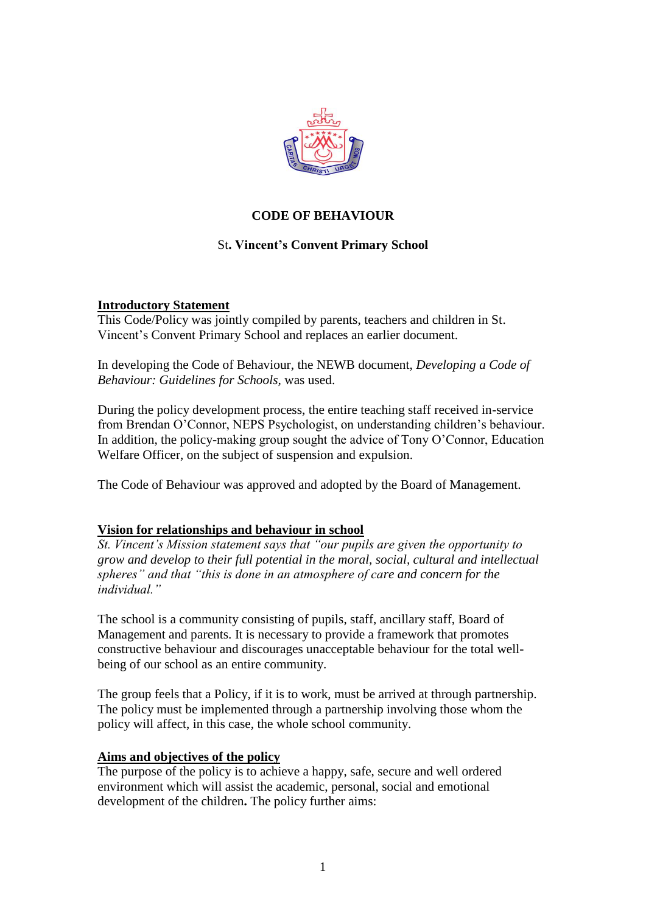

# **CODE OF BEHAVIOUR**

# St**. Vincent's Convent Primary School**

### **Introductory Statement**

This Code/Policy was jointly compiled by parents, teachers and children in St. Vincent's Convent Primary School and replaces an earlier document.

In developing the Code of Behaviour, the NEWB document, *Developing a Code of Behaviour: Guidelines for Schools,* was used.

During the policy development process, the entire teaching staff received in-service from Brendan O'Connor, NEPS Psychologist, on understanding children's behaviour. In addition, the policy-making group sought the advice of Tony O'Connor, Education Welfare Officer, on the subject of suspension and expulsion.

The Code of Behaviour was approved and adopted by the Board of Management.

### **Vision for relationships and behaviour in school**

*St. Vincent's Mission statement says that "our pupils are given the opportunity to grow and develop to their full potential in the moral, social, cultural and intellectual spheres" and that "this is done in an atmosphere of care and concern for the individual."*

The school is a community consisting of pupils, staff, ancillary staff, Board of Management and parents. It is necessary to provide a framework that promotes constructive behaviour and discourages unacceptable behaviour for the total wellbeing of our school as an entire community.

The group feels that a Policy, if it is to work, must be arrived at through partnership. The policy must be implemented through a partnership involving those whom the policy will affect, in this case, the whole school community.

## **Aims and objectives of the policy**

The purpose of the policy is to achieve a happy, safe, secure and well ordered environment which will assist the academic, personal, social and emotional development of the children**.** The policy further aims: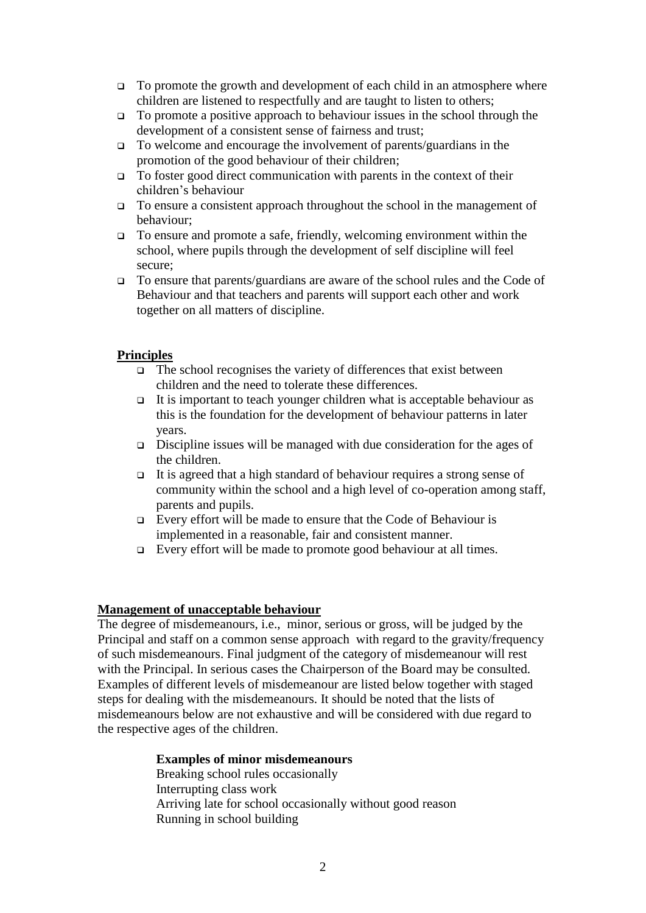- $\Box$  To promote the growth and development of each child in an atmosphere where children are listened to respectfully and are taught to listen to others;
- $\Box$  To promote a positive approach to behaviour issues in the school through the development of a consistent sense of fairness and trust;
- To welcome and encourage the involvement of parents/guardians in the promotion of the good behaviour of their children;
- $\Box$  To foster good direct communication with parents in the context of their children's behaviour
- To ensure a consistent approach throughout the school in the management of behaviour;
- To ensure and promote a safe, friendly, welcoming environment within the school, where pupils through the development of self discipline will feel secure;
- To ensure that parents/guardians are aware of the school rules and the Code of Behaviour and that teachers and parents will support each other and work together on all matters of discipline.

## **Principles**

- $\Box$  The school recognises the variety of differences that exist between children and the need to tolerate these differences.
- It is important to teach younger children what is acceptable behaviour as this is the foundation for the development of behaviour patterns in later years.
- $\Box$  Discipline issues will be managed with due consideration for the ages of the children.
- $\Box$  It is agreed that a high standard of behaviour requires a strong sense of community within the school and a high level of co-operation among staff, parents and pupils.
- Every effort will be made to ensure that the Code of Behaviour is implemented in a reasonable, fair and consistent manner.
- Every effort will be made to promote good behaviour at all times.

### **Management of unacceptable behaviour**

The degree of misdemeanours, i.e., minor, serious or gross, will be judged by the Principal and staff on a common sense approach with regard to the gravity/frequency of such misdemeanours. Final judgment of the category of misdemeanour will rest with the Principal. In serious cases the Chairperson of the Board may be consulted. Examples of different levels of misdemeanour are listed below together with staged steps for dealing with the misdemeanours. It should be noted that the lists of misdemeanours below are not exhaustive and will be considered with due regard to the respective ages of the children.

### **Examples of minor misdemeanours**

Breaking school rules occasionally Interrupting class work Arriving late for school occasionally without good reason Running in school building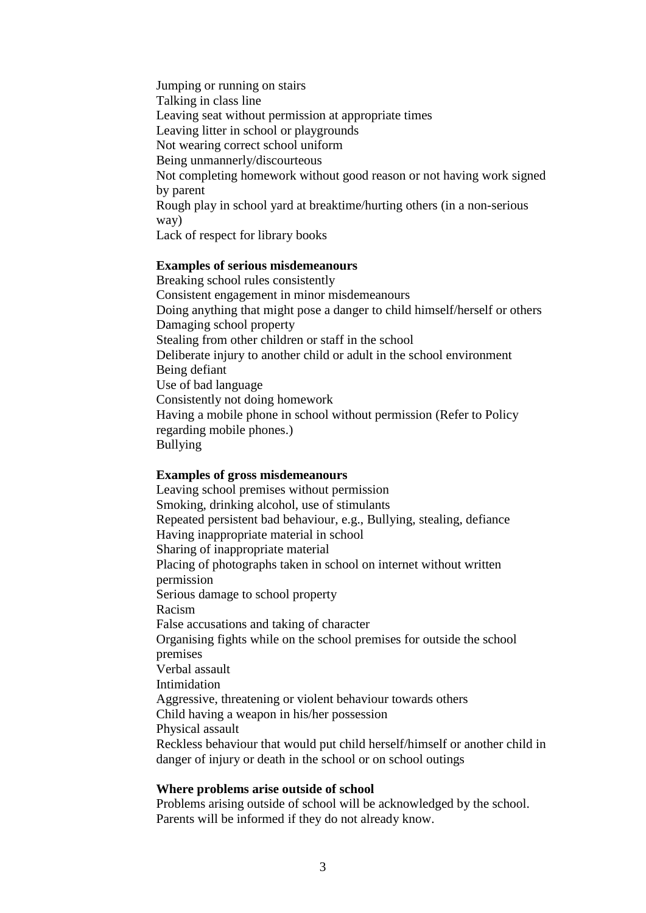Jumping or running on stairs Talking in class line Leaving seat without permission at appropriate times Leaving litter in school or playgrounds Not wearing correct school uniform Being unmannerly/discourteous Not completing homework without good reason or not having work signed by parent Rough play in school yard at breaktime/hurting others (in a non-serious way) Lack of respect for library books

#### **Examples of serious misdemeanours**

Breaking school rules consistently Consistent engagement in minor misdemeanours Doing anything that might pose a danger to child himself/herself or others Damaging school property Stealing from other children or staff in the school Deliberate injury to another child or adult in the school environment Being defiant Use of bad language Consistently not doing homework Having a mobile phone in school without permission (Refer to Policy regarding mobile phones.) Bullying

### **Examples of gross misdemeanours**

Leaving school premises without permission Smoking, drinking alcohol, use of stimulants Repeated persistent bad behaviour, e.g., Bullying, stealing, defiance Having inappropriate material in school Sharing of inappropriate material Placing of photographs taken in school on internet without written permission Serious damage to school property Racism False accusations and taking of character Organising fights while on the school premises for outside the school premises Verbal assault Intimidation Aggressive, threatening or violent behaviour towards others Child having a weapon in his/her possession Physical assault Reckless behaviour that would put child herself/himself or another child in danger of injury or death in the school or on school outings

#### **Where problems arise outside of school**

Problems arising outside of school will be acknowledged by the school. Parents will be informed if they do not already know.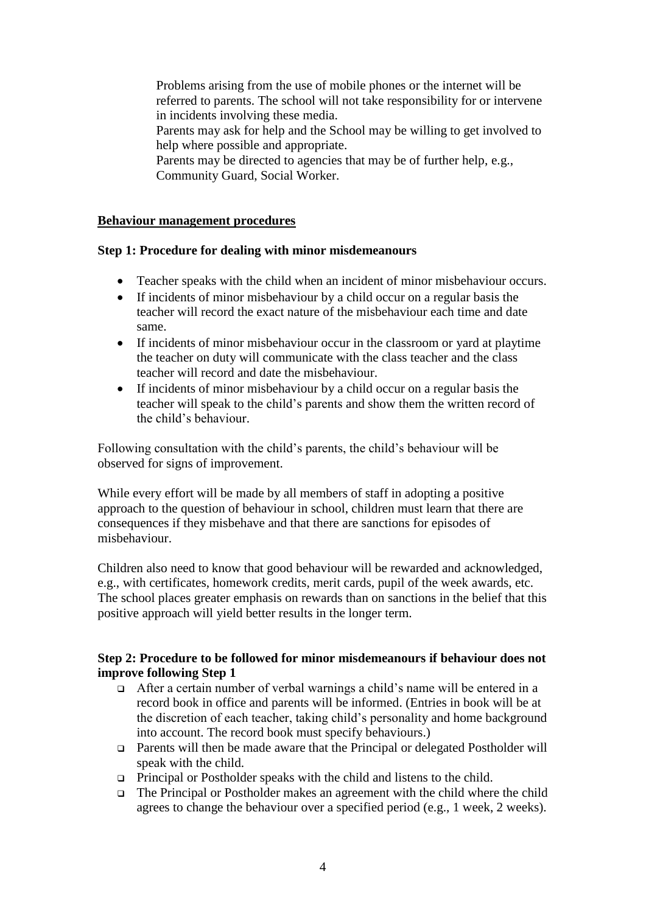Problems arising from the use of mobile phones or the internet will be referred to parents. The school will not take responsibility for or intervene in incidents involving these media. Parents may ask for help and the School may be willing to get involved to help where possible and appropriate.

Parents may be directed to agencies that may be of further help, e.g., Community Guard, Social Worker.

### **Behaviour management procedures**

## **Step 1: Procedure for dealing with minor misdemeanours**

- Teacher speaks with the child when an incident of minor misbehaviour occurs.
- If incidents of minor misbehaviour by a child occur on a regular basis the teacher will record the exact nature of the misbehaviour each time and date same.
- If incidents of minor misbehaviour occur in the classroom or yard at playtime the teacher on duty will communicate with the class teacher and the class teacher will record and date the misbehaviour.
- If incidents of minor misbehaviour by a child occur on a regular basis the teacher will speak to the child's parents and show them the written record of the child's behaviour.

Following consultation with the child's parents, the child's behaviour will be observed for signs of improvement.

While every effort will be made by all members of staff in adopting a positive approach to the question of behaviour in school, children must learn that there are consequences if they misbehave and that there are sanctions for episodes of misbehaviour.

Children also need to know that good behaviour will be rewarded and acknowledged, e.g., with certificates, homework credits, merit cards, pupil of the week awards, etc. The school places greater emphasis on rewards than on sanctions in the belief that this positive approach will yield better results in the longer term.

## **Step 2: Procedure to be followed for minor misdemeanours if behaviour does not improve following Step 1**

- After a certain number of verbal warnings a child's name will be entered in a record book in office and parents will be informed. (Entries in book will be at the discretion of each teacher, taking child's personality and home background into account. The record book must specify behaviours.)
- Parents will then be made aware that the Principal or delegated Postholder will speak with the child.
- $\Box$  Principal or Postholder speaks with the child and listens to the child.
- The Principal or Postholder makes an agreement with the child where the child agrees to change the behaviour over a specified period (e.g., 1 week, 2 weeks).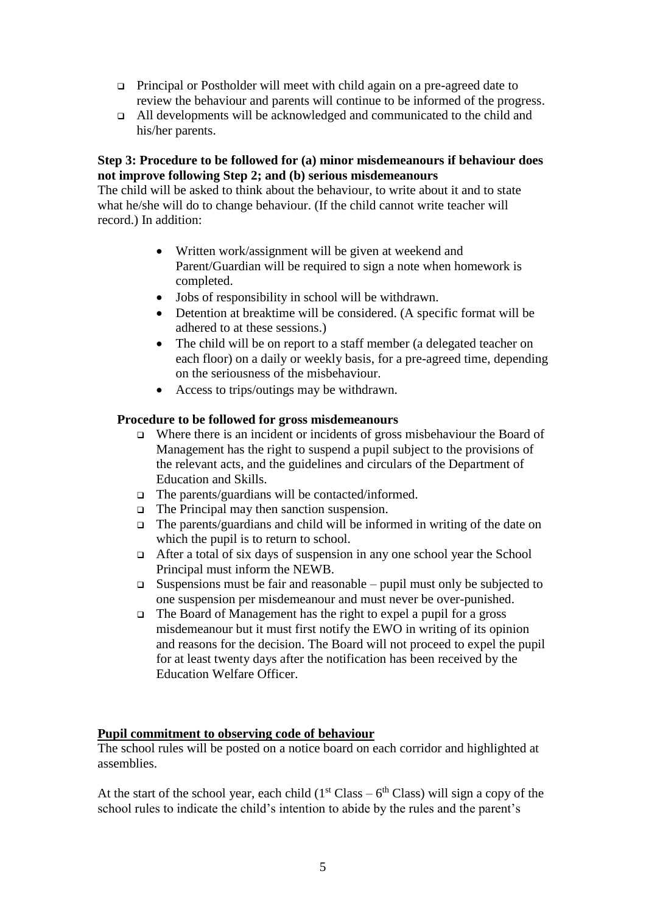- Principal or Postholder will meet with child again on a pre-agreed date to review the behaviour and parents will continue to be informed of the progress.
- All developments will be acknowledged and communicated to the child and his/her parents.

## **Step 3: Procedure to be followed for (a) minor misdemeanours if behaviour does not improve following Step 2; and (b) serious misdemeanours**

The child will be asked to think about the behaviour, to write about it and to state what he/she will do to change behaviour. (If the child cannot write teacher will record.) In addition:

- Written work/assignment will be given at weekend and Parent/Guardian will be required to sign a note when homework is completed.
- Jobs of responsibility in school will be withdrawn.
- Detention at breaktime will be considered. (A specific format will be adhered to at these sessions.)
- The child will be on report to a staff member (a delegated teacher on each floor) on a daily or weekly basis, for a pre-agreed time, depending on the seriousness of the misbehaviour.
- Access to trips/outings may be withdrawn.

## **Procedure to be followed for gross misdemeanours**

- $\Box$  Where there is an incident or incidents of gross misbehaviour the Board of Management has the right to suspend a pupil subject to the provisions of the relevant acts, and the guidelines and circulars of the Department of Education and Skills.
- $\Box$  The parents/guardians will be contacted/informed.
- $\Box$  The Principal may then sanction suspension.
- $\Box$  The parents/guardians and child will be informed in writing of the date on which the pupil is to return to school.
- $\Box$  After a total of six days of suspension in any one school year the School Principal must inform the NEWB.
- $\square$  Suspensions must be fair and reasonable pupil must only be subjected to one suspension per misdemeanour and must never be over-punished.
- $\Box$  The Board of Management has the right to expel a pupil for a gross misdemeanour but it must first notify the EWO in writing of its opinion and reasons for the decision. The Board will not proceed to expel the pupil for at least twenty days after the notification has been received by the Education Welfare Officer.

### **Pupil commitment to observing code of behaviour**

The school rules will be posted on a notice board on each corridor and highlighted at assemblies.

At the start of the school year, each child  $(1<sup>st</sup> Class - 6<sup>th</sup> Class)$  will sign a copy of the school rules to indicate the child's intention to abide by the rules and the parent's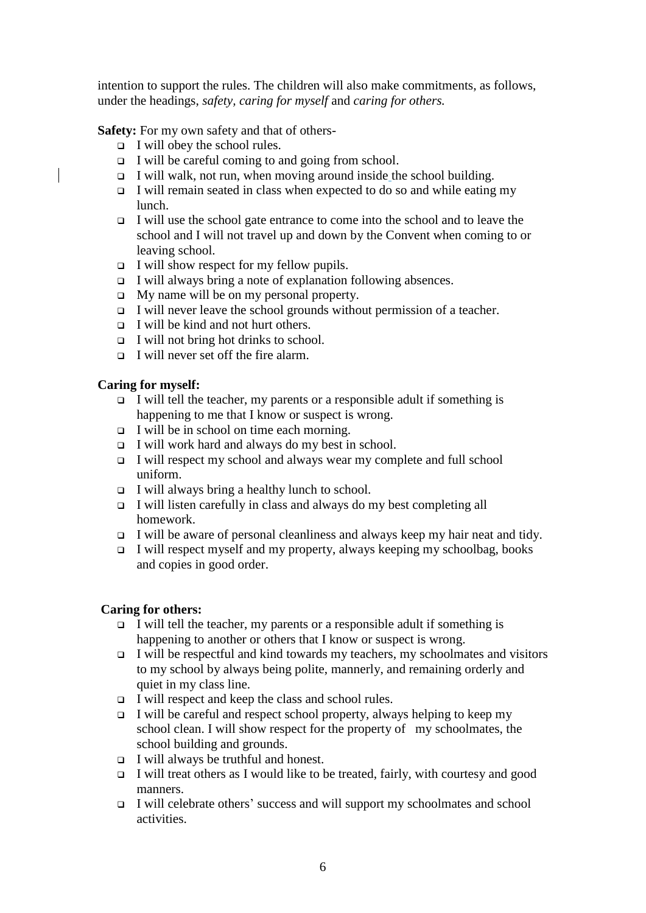intention to support the rules. The children will also make commitments, as follows, under the headings, *safety, caring for myself* and *caring for others.* 

**Safety:** For my own safety and that of others-

- $\Box$  I will obey the school rules.
- $\Box$  I will be careful coming to and going from school.
- $\Box$  I will walk, not run, when moving around inside the school building.
- I will remain seated in class when expected to do so and while eating my lunch.
- $\Box$  I will use the school gate entrance to come into the school and to leave the school and I will not travel up and down by the Convent when coming to or leaving school.
- $\Box$  I will show respect for my fellow pupils.
- $\Box$  I will always bring a note of explanation following absences.
- $\Box$  My name will be on my personal property.
- $\Box$  I will never leave the school grounds without permission of a teacher.
- $\Box$  I will be kind and not hurt others.
- $\Box$  I will not bring hot drinks to school.
- $\Box$  I will never set off the fire alarm.

## **Caring for myself:**

- $\Box$  I will tell the teacher, my parents or a responsible adult if something is happening to me that I know or suspect is wrong.
- $\Box$  I will be in school on time each morning.
- $\Box$  I will work hard and always do my best in school.
- $\Box$  I will respect my school and always wear my complete and full school uniform.
- $\Box$  I will always bring a healthy lunch to school.
- $\Box$  I will listen carefully in class and always do my best completing all homework.
- $\Box$  I will be aware of personal cleanliness and always keep my hair neat and tidy.
- $\Box$  I will respect myself and my property, always keeping my schoolbag, books and copies in good order.

## **Caring for others:**

- $\Box$  I will tell the teacher, my parents or a responsible adult if something is happening to another or others that I know or suspect is wrong.
- $\Box$  I will be respectful and kind towards my teachers, my schoolmates and visitors to my school by always being polite, mannerly, and remaining orderly and quiet in my class line.
- $\Box$  I will respect and keep the class and school rules.
- $\Box$  I will be careful and respect school property, always helping to keep my school clean. I will show respect for the property of my schoolmates, the school building and grounds.
- $\Box$  I will always be truthful and honest.
- I will treat others as I would like to be treated, fairly, with courtesy and good manners.
- I will celebrate others' success and will support my schoolmates and school activities.